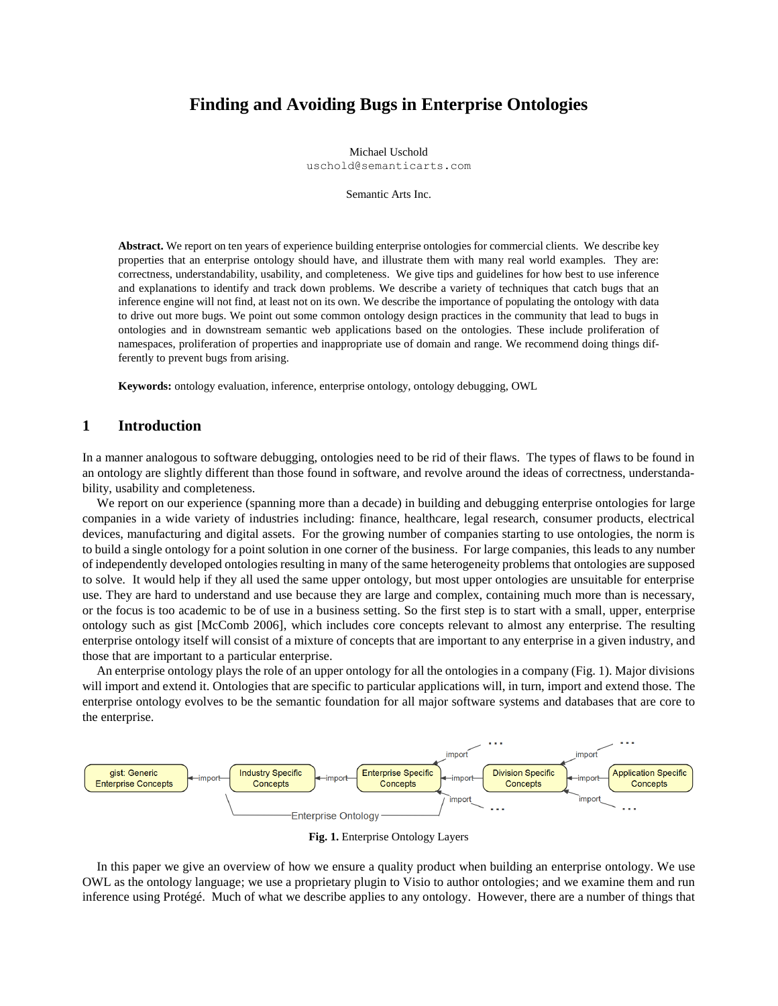# **Finding and Avoiding Bugs in Enterprise Ontologies**

Michael Uschold uschold@semanticarts.com

Semantic Arts Inc.

**Abstract.** We report on ten years of experience building enterprise ontologies for commercial clients. We describe key properties that an enterprise ontology should have, and illustrate them with many real world examples. They are: correctness, understandability, usability, and completeness. We give tips and guidelines for how best to use inference and explanations to identify and track down problems. We describe a variety of techniques that catch bugs that an inference engine will not find, at least not on its own. We describe the importance of populating the ontology with data to drive out more bugs. We point out some common ontology design practices in the community that lead to bugs in ontologies and in downstream semantic web applications based on the ontologies. These include proliferation of namespaces, proliferation of properties and inappropriate use of domain and range. We recommend doing things differently to prevent bugs from arising.

**Keywords:** ontology evaluation, inference, enterprise ontology, ontology debugging, OWL

## **1 Introduction**

In a manner analogous to software debugging, ontologies need to be rid of their flaws. The types of flaws to be found in an ontology are slightly different than those found in software, and revolve around the ideas of correctness, understandability, usability and completeness.

We report on our experience (spanning more than a decade) in building and debugging enterprise ontologies for large companies in a wide variety of industries including: finance, healthcare, legal research, consumer products, electrical devices, manufacturing and digital assets. For the growing number of companies starting to use ontologies, the norm is to build a single ontology for a point solution in one corner of the business. For large companies, this leads to any number of independently developed ontologies resulting in many of the same heterogeneity problems that ontologies are supposed to solve. It would help if they all used the same upper ontology, but most upper ontologies are unsuitable for enterprise use. They are hard to understand and use because they are large and complex, containing much more than is necessary, or the focus is too academic to be of use in a business setting. So the first step is to start with a small, upper, enterprise ontology such as gist [McComb 2006], which includes core concepts relevant to almost any enterprise. The resulting enterprise ontology itself will consist of a mixture of concepts that are important to any enterprise in a given industry, and those that are important to a particular enterprise.

An enterprise ontology plays the role of an upper ontology for all the ontologies in a company (Fig. 1). Major divisions will import and extend it. Ontologies that are specific to particular applications will, in turn, import and extend those. The enterprise ontology evolves to be the semantic foundation for all major software systems and databases that are core to the enterprise.



**Fig. 1.** Enterprise Ontology Layers

In this paper we give an overview of how we ensure a quality product when building an enterprise ontology. We use OWL as the ontology language; we use a proprietary plugin to Visio to author ontologies; and we examine them and run inference using Protégé. Much of what we describe applies to any ontology. However, there are a number of things that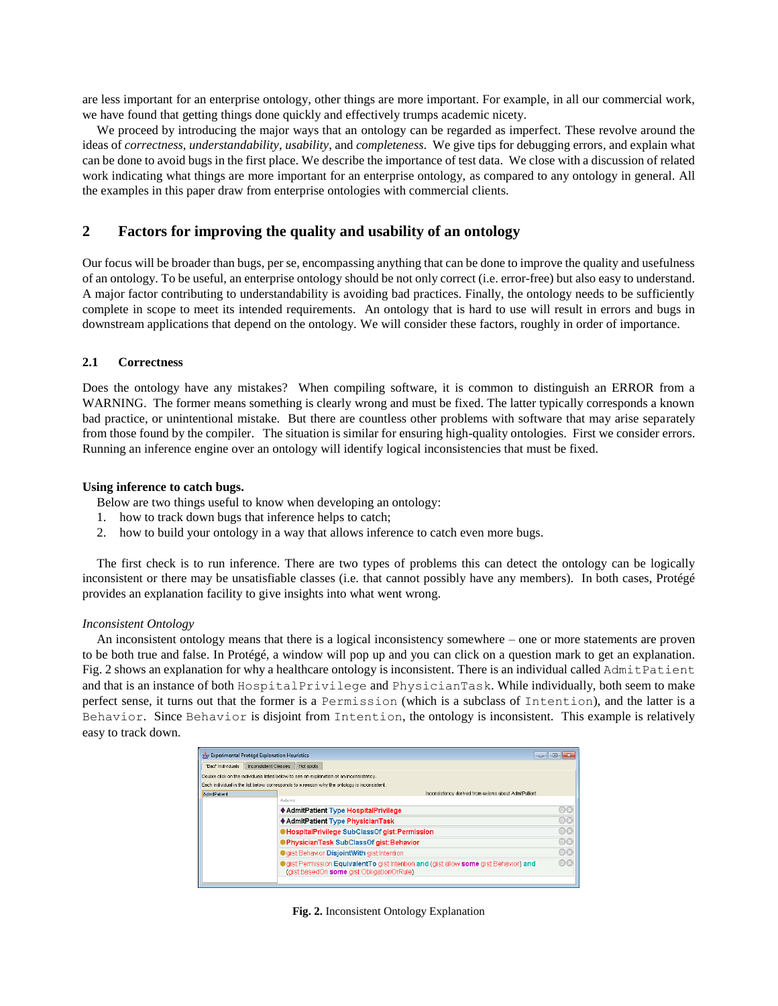are less important for an enterprise ontology, other things are more important. For example, in all our commercial work, we have found that getting things done quickly and effectively trumps academic nicety.

We proceed by introducing the major ways that an ontology can be regarded as imperfect. These revolve around the ideas of *correctness*, *understandability*, *usability*, and *completeness*. We give tips for debugging errors, and explain what can be done to avoid bugs in the first place. We describe the importance of test data. We close with a discussion of related work indicating what things are more important for an enterprise ontology, as compared to any ontology in general. All the examples in this paper draw from enterprise ontologies with commercial clients.

## **2 Factors for improving the quality and usability of an ontology**

Our focus will be broader than bugs, per se, encompassing anything that can be done to improve the quality and usefulness of an ontology. To be useful, an enterprise ontology should be not only correct (i.e. error-free) but also easy to understand. A major factor contributing to understandability is avoiding bad practices. Finally, the ontology needs to be sufficiently complete in scope to meet its intended requirements. An ontology that is hard to use will result in errors and bugs in downstream applications that depend on the ontology. We will consider these factors, roughly in order of importance.

### **2.1 Correctness**

Does the ontology have any mistakes? When compiling software, it is common to distinguish an ERROR from a WARNING. The former means something is clearly wrong and must be fixed. The latter typically corresponds a known bad practice, or unintentional mistake. But there are countless other problems with software that may arise separately from those found by the compiler. The situation is similar for ensuring high-quality ontologies. First we consider errors. Running an inference engine over an ontology will identify logical inconsistencies that must be fixed.

### **Using inference to catch bugs.**

Below are two things useful to know when developing an ontology:

- 1. how to track down bugs that inference helps to catch;
- 2. how to build your ontology in a way that allows inference to catch even more bugs.

The first check is to run inference. There are two types of problems this can detect the ontology can be logically inconsistent or there may be unsatisfiable classes (i.e. that cannot possibly have any members). In both cases, Protégé provides an explanation facility to give insights into what went wrong.

### *Inconsistent Ontology*

An inconsistent ontology means that there is a logical inconsistency somewhere – one or more statements are proven to be both true and false. In Protégé, a window will pop up and you can click on a question mark to get an explanation. Fig. 2 shows an explanation for why a healthcare ontology is inconsistent. There is an individual called AdmitPatient and that is an instance of both HospitalPrivilege and PhysicianTask. While individually, both seem to make perfect sense, it turns out that the former is a Permission (which is a subclass of Intention), and the latter is a Behavior. Since Behavior is disjoint from Intention, the ontology is inconsistent. This example is relatively easy to track down.

| Experimental Protégé Explanation Heuristics                                                 |                      |                                                                                                                                    | $\vert$ o $\vert$ |  |  |
|---------------------------------------------------------------------------------------------|----------------------|------------------------------------------------------------------------------------------------------------------------------------|-------------------|--|--|
| "Bad" Individuals                                                                           | Inconsistent Classes | Hot spots                                                                                                                          |                   |  |  |
| Double click on the individuals listed below to see an explanation of an inconsistency.     |                      |                                                                                                                                    |                   |  |  |
| Each individual in the list below corresponds to a reason why the ontology is inconsistent. |                      |                                                                                                                                    |                   |  |  |
| AdmitPatient                                                                                |                      | Inconsistency derived from axioms about AdmitPatient                                                                               |                   |  |  |
|                                                                                             |                      | Axioms                                                                                                                             |                   |  |  |
|                                                                                             |                      | ♦ AdmitPatient Type HospitalPrivilege                                                                                              | @X                |  |  |
|                                                                                             |                      | ♦ AdmitPatient Type PhysicianTask                                                                                                  | Ox<br>Ox          |  |  |
|                                                                                             |                      | <b>HospitalPrivilege SubClassOf gist:Permission</b>                                                                                |                   |  |  |
|                                                                                             |                      | PhysicianTask SubClassOf gist:Behavior                                                                                             | @x                |  |  |
|                                                                                             |                      | <b>Gist Behavior DisjointWith gist Intention</b>                                                                                   | $\circledcirc$ x  |  |  |
|                                                                                             |                      | orist Permission Equivalent To gist Intention and (gist allow some gist Behavior) and<br>(gist basedOn some gist:ObligationOrRule) |                   |  |  |
|                                                                                             |                      |                                                                                                                                    |                   |  |  |

**Fig. 2.** Inconsistent Ontology Explanation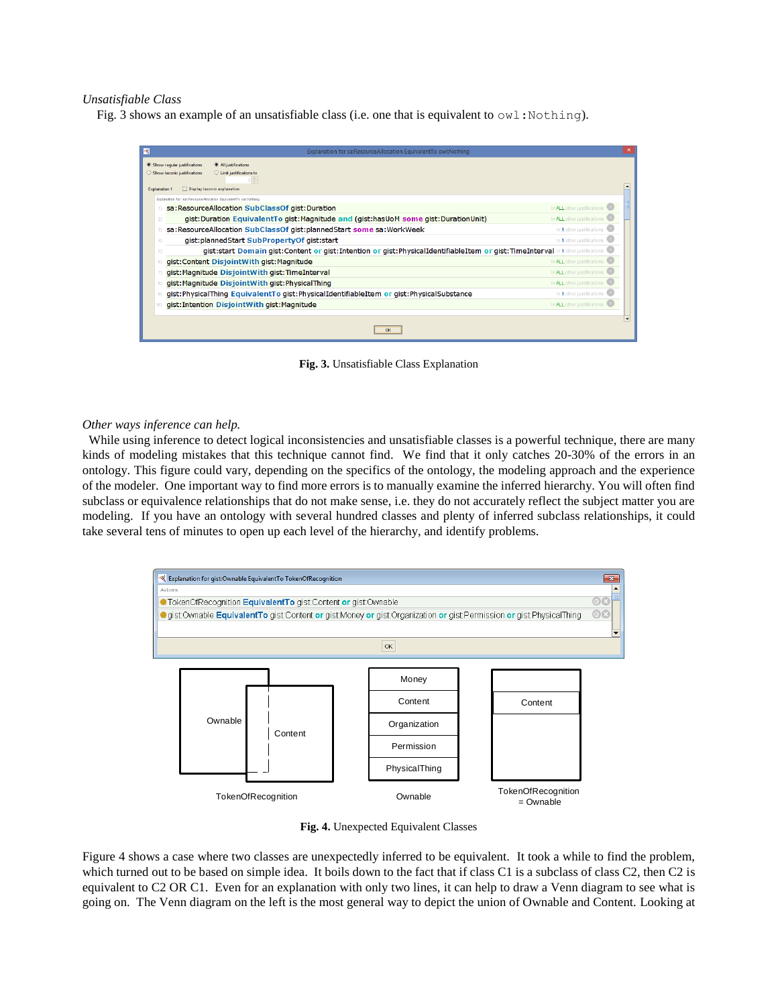#### *Unsatisfiable Class*

Fig. 3 shows an example of an unsatisfiable class (i.e. one that is equivalent to  $\text{ow1:} \text{Nothing}$ ).



**Fig. 3.** Unsatisfiable Class Explanation

#### *Other ways inference can help.*

While using inference to detect logical inconsistencies and unsatisfiable classes is a powerful technique, there are many kinds of modeling mistakes that this technique cannot find. We find that it only catches 20-30% of the errors in an ontology. This figure could vary, depending on the specifics of the ontology, the modeling approach and the experience of the modeler. One important way to find more errors is to manually examine the inferred hierarchy. You will often find subclass or equivalence relationships that do not make sense, i.e. they do not accurately reflect the subject matter you are modeling. If you have an ontology with several hundred classes and plenty of inferred subclass relationships, it could take several tens of minutes to open up each level of the hierarchy, and identify problems.



**Fig. 4.** Unexpected Equivalent Classes

Figure 4 shows a case where two classes are unexpectedly inferred to be equivalent. It took a while to find the problem, which turned out to be based on simple idea. It boils down to the fact that if class C1 is a subclass of class C2, then C2 is equivalent to C2 OR C1. Even for an explanation with only two lines, it can help to draw a Venn diagram to see what is going on. The Venn diagram on the left is the most general way to depict the union of Ownable and Content. Looking at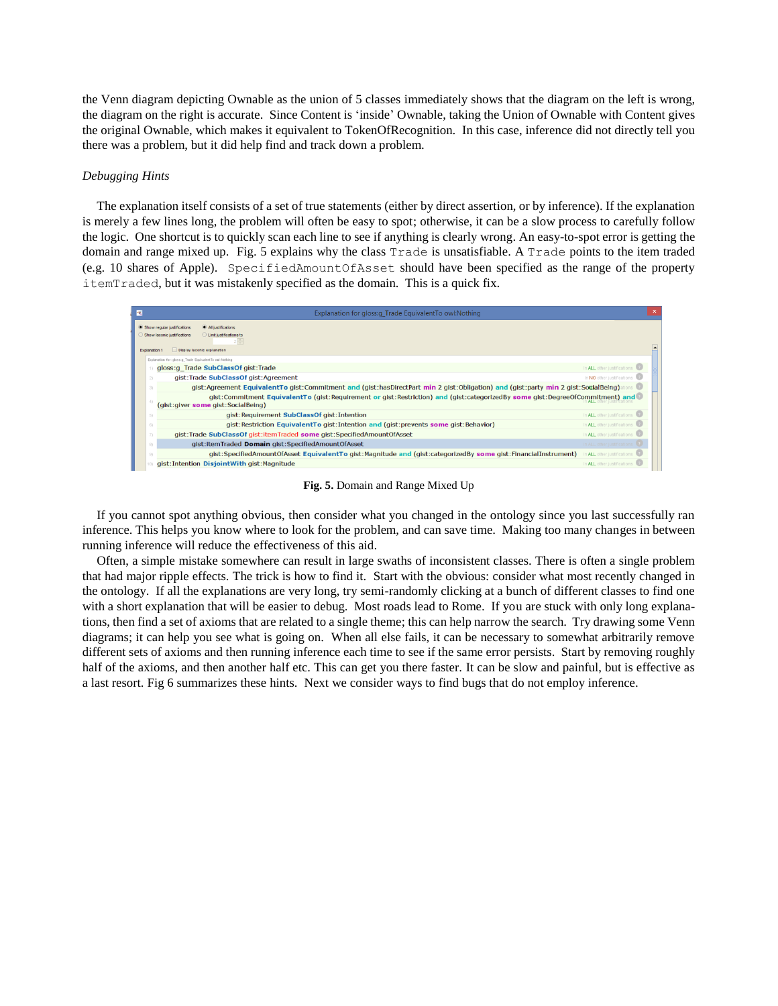the Venn diagram depicting Ownable as the union of 5 classes immediately shows that the diagram on the left is wrong, the diagram on the right is accurate. Since Content is 'inside' Ownable, taking the Union of Ownable with Content gives the original Ownable, which makes it equivalent to TokenOfRecognition. In this case, inference did not directly tell you there was a problem, but it did help find and track down a problem.

### *Debugging Hints*

The explanation itself consists of a set of true statements (either by direct assertion, or by inference). If the explanation is merely a few lines long, the problem will often be easy to spot; otherwise, it can be a slow process to carefully follow the logic. One shortcut is to quickly scan each line to see if anything is clearly wrong. An easy-to-spot error is getting the domain and range mixed up. Fig. 5 explains why the class Trade is unsatisfiable. A Trade points to the item traded (e.g. 10 shares of Apple). SpecifiedAmountOfAsset should have been specified as the range of the property itemTraded, but it was mistakenly specified as the domain. This is a quick fix.

| $\overline{\mathcal{R}}$ | Explanation for gloss: Trade Equivalent To owl: Nothing                                                                                                             | ×                               |
|--------------------------|---------------------------------------------------------------------------------------------------------------------------------------------------------------------|---------------------------------|
| Explanation 1            | Show regular justifications<br>All justifications<br>Show laconic justifications<br>C Limit justifications to<br>Display laconic explanation                        |                                 |
|                          | Explanation for: gloss:g_Trade EquivalentTo owl:Nothing                                                                                                             |                                 |
|                          | gloss:g_Trade SubClassOf gist:Trade                                                                                                                                 | In ALL other justifications     |
|                          | gist: Trade SubClassOf gist: Agreement                                                                                                                              | In NO other justifications      |
|                          | gist:Agreement EquivalentTo gist:Commitment and (gist:hasDirectPart min 2 gist:Obligation) and (gist:party min 2 gist:SocialBeing)                                  |                                 |
|                          | gist:Commitment EquivalentTo (gist:Requirement or gist:Restriction) and (gist:categorizedBy some gist:DegreeOfCommitment) and<br>(gist:giver some gist:SocialBeing) |                                 |
|                          | gist: Requirement SubClassOf gist: Intention                                                                                                                        | In ALL other justifications     |
|                          | qist: Restriction EquivalentTo gist: Intention and (gist: prevents some gist: Behavior)                                                                             | In ALL other justifications     |
|                          | gist:Trade SubClassOf gist:itemTraded some gist:SpecifiedAmountOfAsset                                                                                              | In ALL other justifications     |
|                          | gist:itemTraded Domain gist:SpecifiedAmountOfAsset                                                                                                                  | In ALL other justifications     |
|                          | gist:SpecifiedAmountOfAsset EquivalentTo gist:Magnitude and (gist:categorizedBy some gist:FinancialInstrument)                                                      | <b>ALL</b> other justifications |
|                          | gist: Intention DisjointWith gist: Magnitude                                                                                                                        | In ALL other justifications     |

**Fig. 5.** Domain and Range Mixed Up

If you cannot spot anything obvious, then consider what you changed in the ontology since you last successfully ran inference. This helps you know where to look for the problem, and can save time. Making too many changes in between running inference will reduce the effectiveness of this aid.

Often, a simple mistake somewhere can result in large swaths of inconsistent classes. There is often a single problem that had major ripple effects. The trick is how to find it. Start with the obvious: consider what most recently changed in the ontology. If all the explanations are very long, try semi-randomly clicking at a bunch of different classes to find one with a short explanation that will be easier to debug. Most roads lead to Rome. If you are stuck with only long explanations, then find a set of axioms that are related to a single theme; this can help narrow the search. Try drawing some Venn diagrams; it can help you see what is going on. When all else fails, it can be necessary to somewhat arbitrarily remove different sets of axioms and then running inference each time to see if the same error persists. Start by removing roughly half of the axioms, and then another half etc. This can get you there faster. It can be slow and painful, but is effective as a last resort. Fig 6 summarizes these hints. Next we consider ways to find bugs that do not employ inference.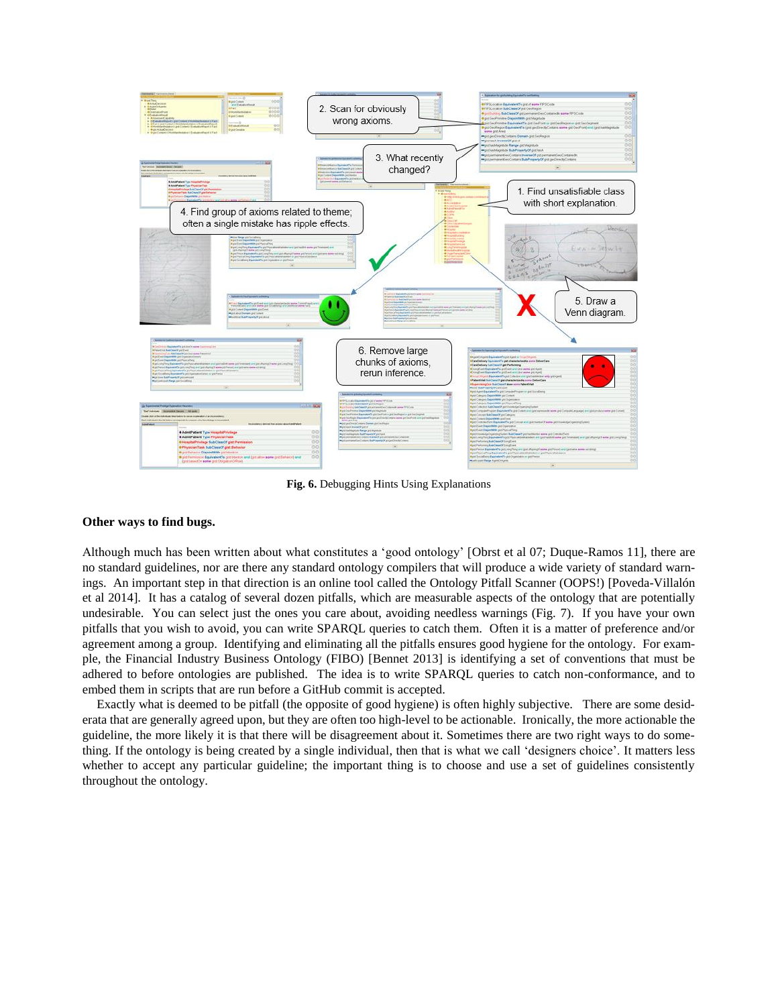

**Fig. 6.** Debugging Hints Using Explanations

#### **Other ways to find bugs.**

Although much has been written about what constitutes a 'good ontology' [Obrst et al 07; Duque-Ramos 11], there are no standard guidelines, nor are there any standard ontology compilers that will produce a wide variety of standard warnings. An important step in that direction is an online tool called the Ontology Pitfall Scanner (OOPS!) [Poveda-Villalón et al 2014]. It has a catalog of several dozen pitfalls, which are measurable aspects of the ontology that are potentially undesirable. You can select just the ones you care about, avoiding needless warnings (Fig. 7). If you have your own pitfalls that you wish to avoid, you can write SPARQL queries to catch them. Often it is a matter of preference and/or agreement among a group. Identifying and eliminating all the pitfalls ensures good hygiene for the ontology. For example, the Financial Industry Business Ontology (FIBO) [Bennet 2013] is identifying a set of conventions that must be adhered to before ontologies are published. The idea is to write SPARQL queries to catch non-conformance, and to embed them in scripts that are run before a GitHub commit is accepted.

Exactly what is deemed to be pitfall (the opposite of good hygiene) is often highly subjective. There are some desiderata that are generally agreed upon, but they are often too high-level to be actionable. Ironically, the more actionable the guideline, the more likely it is that there will be disagreement about it. Sometimes there are two right ways to do something. If the ontology is being created by a single individual, then that is what we call 'designers choice'. It matters less whether to accept any particular guideline; the important thing is to choose and use a set of guidelines consistently throughout the ontology.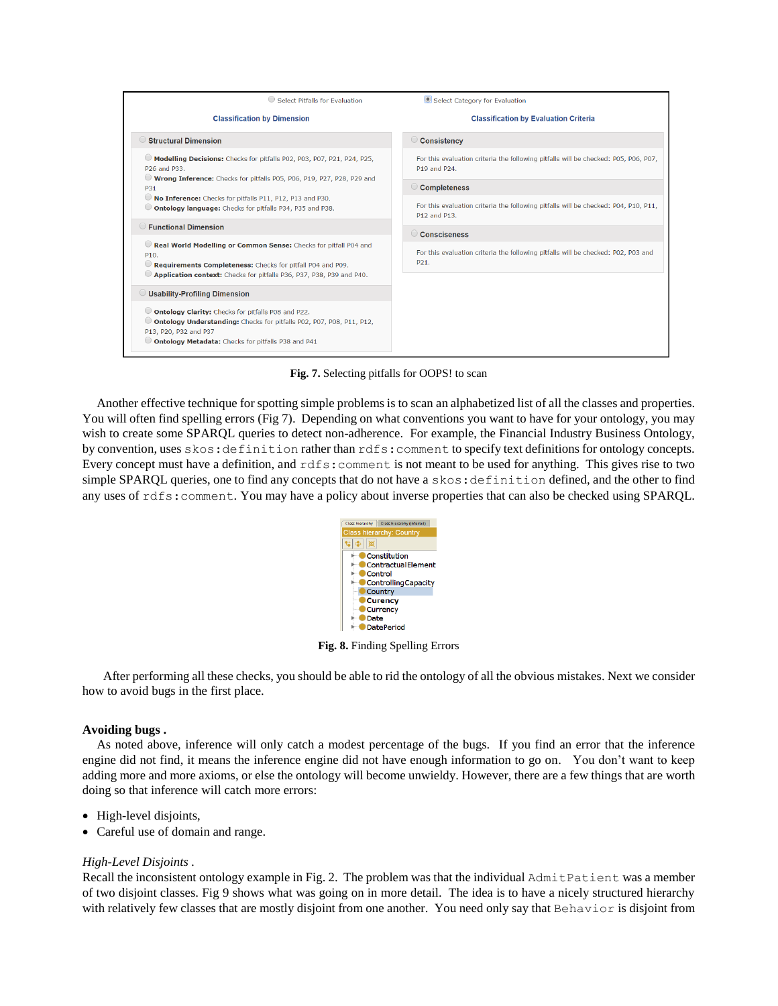

**Fig. 7.** Selecting pitfalls for OOPS! to scan

Another effective technique for spotting simple problems is to scan an alphabetized list of all the classes and properties. You will often find spelling errors (Fig 7). Depending on what conventions you want to have for your ontology, you may wish to create some SPARQL queries to detect non-adherence. For example, the Financial Industry Business Ontology, by convention, uses skos:definition rather than rdfs:comment to specify text definitions for ontology concepts. Every concept must have a definition, and rdfs:comment is not meant to be used for anything. This gives rise to two simple SPARQL queries, one to find any concepts that do not have a skos: definition defined, and the other to find any uses of rdfs:comment. You may have a policy about inverse properties that can also be checked using SPARQL.



**Fig. 8.** Finding Spelling Errors

 After performing all these checks, you should be able to rid the ontology of all the obvious mistakes. Next we consider how to avoid bugs in the first place.

### **Avoiding bugs .**

As noted above, inference will only catch a modest percentage of the bugs. If you find an error that the inference engine did not find, it means the inference engine did not have enough information to go on. You don't want to keep adding more and more axioms, or else the ontology will become unwieldy. However, there are a few things that are worth doing so that inference will catch more errors:

- High-level disjoints,
- Careful use of domain and range.

### *High-Level Disjoints .*

Recall the inconsistent ontology example in Fig. 2. The problem was that the individual AdmitPatient was a member of two disjoint classes. Fig 9 shows what was going on in more detail. The idea is to have a nicely structured hierarchy with relatively few classes that are mostly disjoint from one another. You need only say that Behavior is disjoint from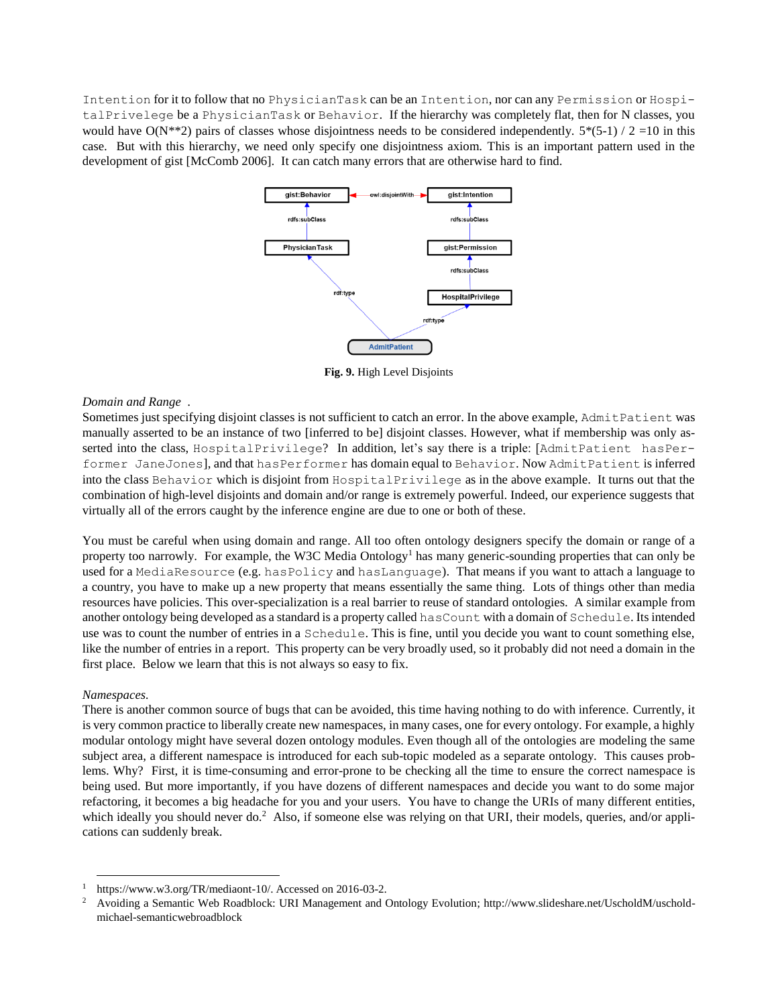Intention for it to follow that no PhysicianTask can be an Intention, nor can any Permission or HospitalPrivelege be a PhysicianTask or Behavior. If the hierarchy was completely flat, then for N classes, you would have  $O(N^{**}2)$  pairs of classes whose disjointness needs to be considered independently.  $5*(5-1)/2=10$  in this case. But with this hierarchy, we need only specify one disjointness axiom. This is an important pattern used in the development of gist [McComb 2006]. It can catch many errors that are otherwise hard to find.



**Fig. 9.** High Level Disjoints

### *Domain and Range .*

Sometimes just specifying disjoint classes is not sufficient to catch an error. In the above example, AdmitPatient was manually asserted to be an instance of two [inferred to be] disjoint classes. However, what if membership was only asserted into the class, HospitalPrivilege? In addition, let's say there is a triple: [AdmitPatient hasPerformer JaneJones], and that hasPerformer has domain equal to Behavior. Now AdmitPatient is inferred into the class Behavior which is disjoint from HospitalPrivilege as in the above example. It turns out that the combination of high-level disjoints and domain and/or range is extremely powerful. Indeed, our experience suggests that virtually all of the errors caught by the inference engine are due to one or both of these.

You must be careful when using domain and range. All too often ontology designers specify the domain or range of a property too narrowly. For example, the W3C Media Ontology<sup>1</sup> has many generic-sounding properties that can only be used for a MediaResource (e.g. hasPolicy and hasLanguage). That means if you want to attach a language to a country, you have to make up a new property that means essentially the same thing. Lots of things other than media resources have policies. This over-specialization is a real barrier to reuse of standard ontologies. A similar example from another ontology being developed as a standard is a property called hasCount with a domain of Schedule. Its intended use was to count the number of entries in a Schedule. This is fine, until you decide you want to count something else, like the number of entries in a report. This property can be very broadly used, so it probably did not need a domain in the first place. Below we learn that this is not always so easy to fix.

### *Namespaces.*

l

There is another common source of bugs that can be avoided, this time having nothing to do with inference. Currently, it is very common practice to liberally create new namespaces, in many cases, one for every ontology. For example, a highly modular ontology might have several dozen ontology modules. Even though all of the ontologies are modeling the same subject area, a different namespace is introduced for each sub-topic modeled as a separate ontology. This causes problems. Why? First, it is time-consuming and error-prone to be checking all the time to ensure the correct namespace is being used. But more importantly, if you have dozens of different namespaces and decide you want to do some major refactoring, it becomes a big headache for you and your users. You have to change the URIs of many different entities, which ideally you should never do.<sup>2</sup> Also, if someone else was relying on that URI, their models, queries, and/or applications can suddenly break.

 $1$  [https://www.w3.org/TR/mediaont-10/.](https://www.w3.org/TR/mediaont-10/) Accessed on 2016-03-2.

<sup>2</sup> Avoiding a Semantic Web Roadblock: URI Management and Ontology Evolution[; http://www.slideshare.net/UscholdM/uschold](http://www.slideshare.net/UscholdM/uschold-michael-semanticwebroadblock)[michael-semanticwebroadblock](http://www.slideshare.net/UscholdM/uschold-michael-semanticwebroadblock)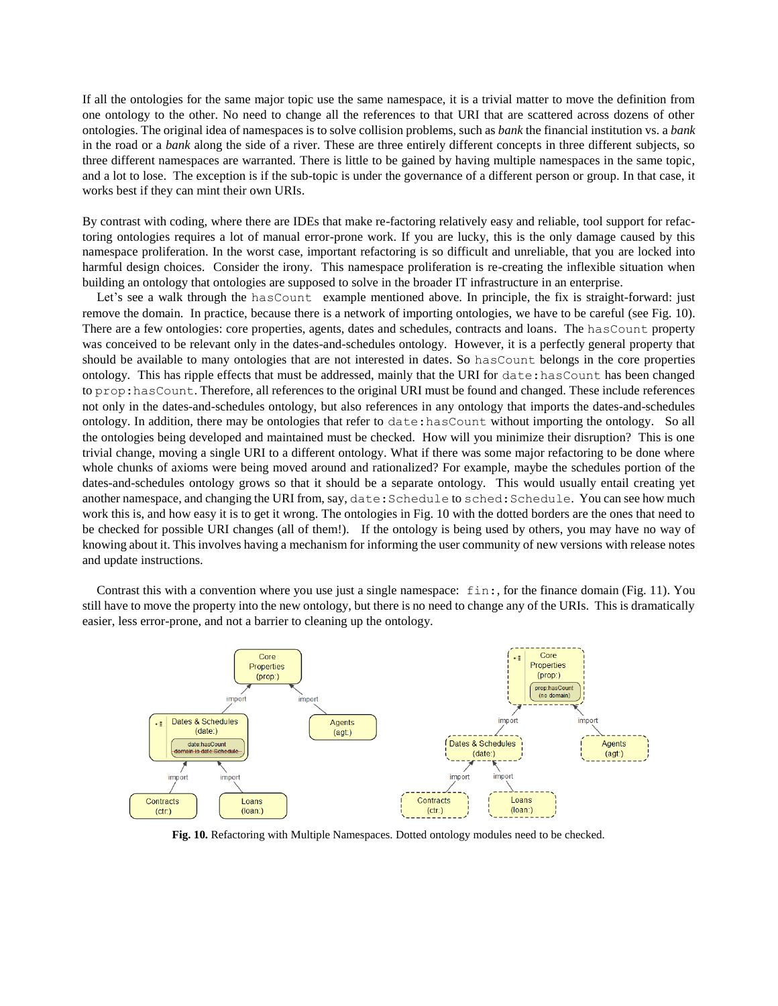If all the ontologies for the same major topic use the same namespace, it is a trivial matter to move the definition from one ontology to the other. No need to change all the references to that URI that are scattered across dozens of other ontologies. The original idea of namespaces is to solve collision problems, such as *bank* the financial institution vs. a *bank* in the road or a *bank* along the side of a river. These are three entirely different concepts in three different subjects, so three different namespaces are warranted. There is little to be gained by having multiple namespaces in the same topic, and a lot to lose. The exception is if the sub-topic is under the governance of a different person or group. In that case, it works best if they can mint their own URIs.

By contrast with coding, where there are IDEs that make re-factoring relatively easy and reliable, tool support for refactoring ontologies requires a lot of manual error-prone work. If you are lucky, this is the only damage caused by this namespace proliferation. In the worst case, important refactoring is so difficult and unreliable, that you are locked into harmful design choices. Consider the irony. This namespace proliferation is re-creating the inflexible situation when building an ontology that ontologies are supposed to solve in the broader IT infrastructure in an enterprise.

Let's see a walk through the hasCount example mentioned above. In principle, the fix is straight-forward: just remove the domain. In practice, because there is a network of importing ontologies, we have to be careful (see Fig. 10). There are a few ontologies: core properties, agents, dates and schedules, contracts and loans. The hasCount property was conceived to be relevant only in the dates-and-schedules ontology. However, it is a perfectly general property that should be available to many ontologies that are not interested in dates. So hasCount belongs in the core properties ontology. This has ripple effects that must be addressed, mainly that the URI for date:hasCount has been changed to prop:hasCount. Therefore, all references to the original URI must be found and changed. These include references not only in the dates-and-schedules ontology, but also references in any ontology that imports the dates-and-schedules ontology. In addition, there may be ontologies that refer to date:hasCount without importing the ontology. So all the ontologies being developed and maintained must be checked. How will you minimize their disruption? This is one trivial change, moving a single URI to a different ontology. What if there was some major refactoring to be done where whole chunks of axioms were being moved around and rationalized? For example, maybe the schedules portion of the dates-and-schedules ontology grows so that it should be a separate ontology. This would usually entail creating yet another namespace, and changing the URI from, say, date: Schedule to sched: Schedule. You can see how much work this is, and how easy it is to get it wrong. The ontologies in Fig. 10 with the dotted borders are the ones that need to be checked for possible URI changes (all of them!). If the ontology is being used by others, you may have no way of knowing about it. This involves having a mechanism for informing the user community of new versions with release notes and update instructions.

Contrast this with a convention where you use just a single namespace: fin:, for the finance domain (Fig. 11). You still have to move the property into the new ontology, but there is no need to change any of the URIs. This is dramatically easier, less error-prone, and not a barrier to cleaning up the ontology.



**Fig. 10.** Refactoring with Multiple Namespaces. Dotted ontology modules need to be checked.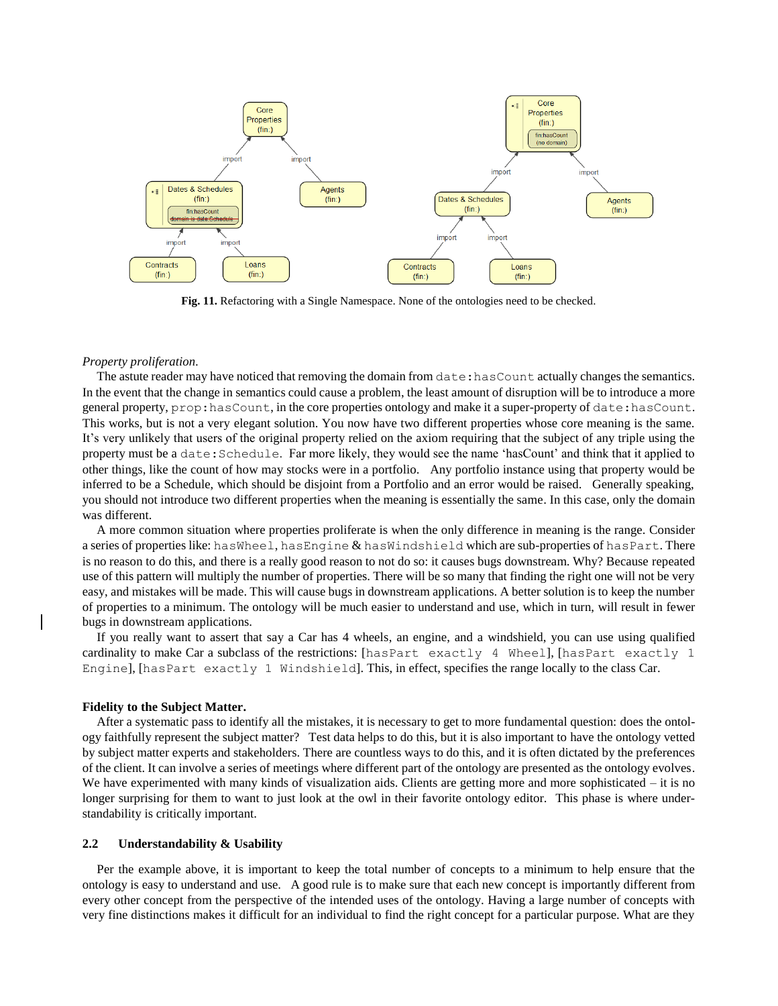

**Fig. 11.** Refactoring with a Single Namespace. None of the ontologies need to be checked.

#### *Property proliferation.*

The astute reader may have noticed that removing the domain from  $\text{date}:$  has Count actually changes the semantics. In the event that the change in semantics could cause a problem, the least amount of disruption will be to introduce a more general property, prop:hasCount, in the core properties ontology and make it a super-property of date:hasCount. This works, but is not a very elegant solution. You now have two different properties whose core meaning is the same. It's very unlikely that users of the original property relied on the axiom requiring that the subject of any triple using the property must be a date:Schedule. Far more likely, they would see the name 'hasCount' and think that it applied to other things, like the count of how may stocks were in a portfolio. Any portfolio instance using that property would be inferred to be a Schedule, which should be disjoint from a Portfolio and an error would be raised. Generally speaking, you should not introduce two different properties when the meaning is essentially the same. In this case, only the domain was different.

A more common situation where properties proliferate is when the only difference in meaning is the range. Consider a series of properties like: hasWheel, hasEngine & hasWindshield which are sub-properties of hasPart. There is no reason to do this, and there is a really good reason to not do so: it causes bugs downstream. Why? Because repeated use of this pattern will multiply the number of properties. There will be so many that finding the right one will not be very easy, and mistakes will be made. This will cause bugs in downstream applications. A better solution is to keep the number of properties to a minimum. The ontology will be much easier to understand and use, which in turn, will result in fewer bugs in downstream applications.

If you really want to assert that say a Car has 4 wheels, an engine, and a windshield, you can use using qualified cardinality to make Car a subclass of the restrictions: [hasPart exactly 4 Wheel], [hasPart exactly 1 Engine], [hasPart exactly 1 Windshield]. This, in effect, specifies the range locally to the class Car.

#### **Fidelity to the Subject Matter.**

After a systematic pass to identify all the mistakes, it is necessary to get to more fundamental question: does the ontology faithfully represent the subject matter? Test data helps to do this, but it is also important to have the ontology vetted by subject matter experts and stakeholders. There are countless ways to do this, and it is often dictated by the preferences of the client. It can involve a series of meetings where different part of the ontology are presented as the ontology evolves. We have experimented with many kinds of visualization aids. Clients are getting more and more sophisticated – it is no longer surprising for them to want to just look at the owl in their favorite ontology editor. This phase is where understandability is critically important.

### **2.2 Understandability & Usability**

Per the example above, it is important to keep the total number of concepts to a minimum to help ensure that the ontology is easy to understand and use. A good rule is to make sure that each new concept is importantly different from every other concept from the perspective of the intended uses of the ontology. Having a large number of concepts with very fine distinctions makes it difficult for an individual to find the right concept for a particular purpose. What are they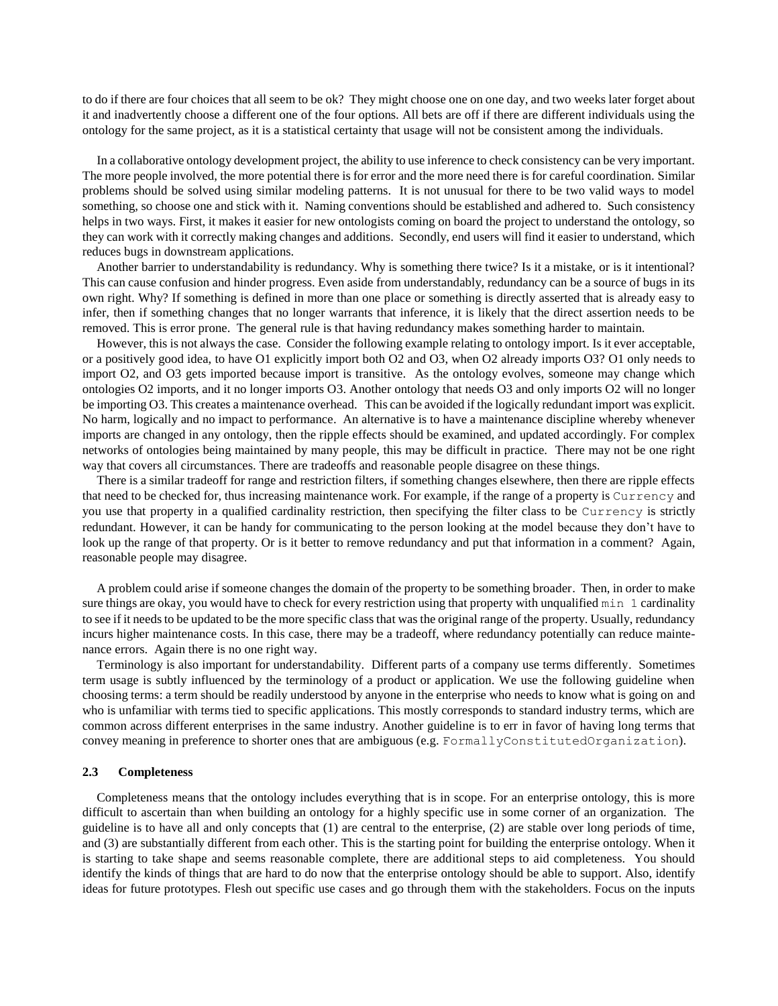to do if there are four choices that all seem to be ok? They might choose one on one day, and two weeks later forget about it and inadvertently choose a different one of the four options. All bets are off if there are different individuals using the ontology for the same project, as it is a statistical certainty that usage will not be consistent among the individuals.

In a collaborative ontology development project, the ability to use inference to check consistency can be very important. The more people involved, the more potential there is for error and the more need there is for careful coordination. Similar problems should be solved using similar modeling patterns. It is not unusual for there to be two valid ways to model something, so choose one and stick with it. Naming conventions should be established and adhered to. Such consistency helps in two ways. First, it makes it easier for new ontologists coming on board the project to understand the ontology, so they can work with it correctly making changes and additions. Secondly, end users will find it easier to understand, which reduces bugs in downstream applications.

Another barrier to understandability is redundancy. Why is something there twice? Is it a mistake, or is it intentional? This can cause confusion and hinder progress. Even aside from understandably, redundancy can be a source of bugs in its own right. Why? If something is defined in more than one place or something is directly asserted that is already easy to infer, then if something changes that no longer warrants that inference, it is likely that the direct assertion needs to be removed. This is error prone. The general rule is that having redundancy makes something harder to maintain.

However, this is not always the case. Consider the following example relating to ontology import. Is it ever acceptable, or a positively good idea, to have O1 explicitly import both O2 and O3, when O2 already imports O3? O1 only needs to import O2, and O3 gets imported because import is transitive. As the ontology evolves, someone may change which ontologies O2 imports, and it no longer imports O3. Another ontology that needs O3 and only imports O2 will no longer be importing O3. This creates a maintenance overhead. This can be avoided if the logically redundant import was explicit. No harm, logically and no impact to performance. An alternative is to have a maintenance discipline whereby whenever imports are changed in any ontology, then the ripple effects should be examined, and updated accordingly. For complex networks of ontologies being maintained by many people, this may be difficult in practice. There may not be one right way that covers all circumstances. There are tradeoffs and reasonable people disagree on these things.

There is a similar tradeoff for range and restriction filters, if something changes elsewhere, then there are ripple effects that need to be checked for, thus increasing maintenance work. For example, if the range of a property is Currency and you use that property in a qualified cardinality restriction, then specifying the filter class to be Currency is strictly redundant. However, it can be handy for communicating to the person looking at the model because they don't have to look up the range of that property. Or is it better to remove redundancy and put that information in a comment? Again, reasonable people may disagree.

A problem could arise if someone changes the domain of the property to be something broader. Then, in order to make sure things are okay, you would have to check for every restriction using that property with unqualified min 1 cardinality to see if it needs to be updated to be the more specific class that was the original range of the property. Usually, redundancy incurs higher maintenance costs. In this case, there may be a tradeoff, where redundancy potentially can reduce maintenance errors. Again there is no one right way.

Terminology is also important for understandability. Different parts of a company use terms differently. Sometimes term usage is subtly influenced by the terminology of a product or application. We use the following guideline when choosing terms: a term should be readily understood by anyone in the enterprise who needs to know what is going on and who is unfamiliar with terms tied to specific applications. This mostly corresponds to standard industry terms, which are common across different enterprises in the same industry. Another guideline is to err in favor of having long terms that convey meaning in preference to shorter ones that are ambiguous (e.g. FormallyConstitutedOrganization).

#### **2.3 Completeness**

Completeness means that the ontology includes everything that is in scope. For an enterprise ontology, this is more difficult to ascertain than when building an ontology for a highly specific use in some corner of an organization. The guideline is to have all and only concepts that (1) are central to the enterprise, (2) are stable over long periods of time, and (3) are substantially different from each other. This is the starting point for building the enterprise ontology. When it is starting to take shape and seems reasonable complete, there are additional steps to aid completeness. You should identify the kinds of things that are hard to do now that the enterprise ontology should be able to support. Also, identify ideas for future prototypes. Flesh out specific use cases and go through them with the stakeholders. Focus on the inputs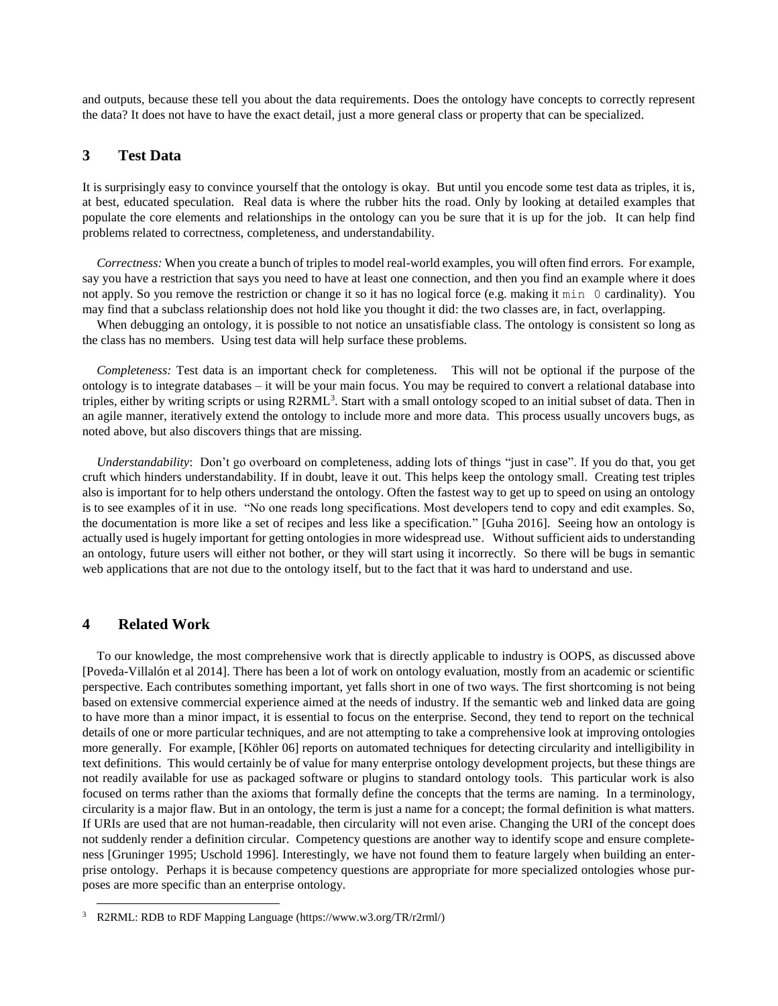and outputs, because these tell you about the data requirements. Does the ontology have concepts to correctly represent the data? It does not have to have the exact detail, just a more general class or property that can be specialized.

## **3 Test Data**

It is surprisingly easy to convince yourself that the ontology is okay. But until you encode some test data as triples, it is, at best, educated speculation. Real data is where the rubber hits the road. Only by looking at detailed examples that populate the core elements and relationships in the ontology can you be sure that it is up for the job. It can help find problems related to correctness, completeness, and understandability.

*Correctness:* When you create a bunch of triples to model real-world examples, you will often find errors. For example, say you have a restriction that says you need to have at least one connection, and then you find an example where it does not apply. So you remove the restriction or change it so it has no logical force (e.g. making it min 0 cardinality). You may find that a subclass relationship does not hold like you thought it did: the two classes are, in fact, overlapping.

When debugging an ontology, it is possible to not notice an unsatisfiable class. The ontology is consistent so long as the class has no members. Using test data will help surface these problems.

*Completeness:* Test data is an important check for completeness. This will not be optional if the purpose of the ontology is to integrate databases – it will be your main focus. You may be required to convert a relational database into triples, either by writing scripts or using R2RML<sup>3</sup>. Start with a small ontology scoped to an initial subset of data. Then in an agile manner, iteratively extend the ontology to include more and more data. This process usually uncovers bugs, as noted above, but also discovers things that are missing.

*Understandability*: Don't go overboard on completeness, adding lots of things "just in case". If you do that, you get cruft which hinders understandability. If in doubt, leave it out. This helps keep the ontology small. Creating test triples also is important for to help others understand the ontology. Often the fastest way to get up to speed on using an ontology is to see examples of it in use. "No one reads long specifications. Most developers tend to copy and edit examples. So, the documentation is more like a set of recipes and less like a specification." [Guha 2016]. Seeing how an ontology is actually used is hugely important for getting ontologies in more widespread use. Without sufficient aids to understanding an ontology, future users will either not bother, or they will start using it incorrectly. So there will be bugs in semantic web applications that are not due to the ontology itself, but to the fact that it was hard to understand and use.

## **4 Related Work**

l

To our knowledge, the most comprehensive work that is directly applicable to industry is OOPS, as discussed above [Poveda-Villalón et al 2014]. There has been a lot of work on ontology evaluation, mostly from an academic or scientific perspective. Each contributes something important, yet falls short in one of two ways. The first shortcoming is not being based on extensive commercial experience aimed at the needs of industry. If the semantic web and linked data are going to have more than a minor impact, it is essential to focus on the enterprise. Second, they tend to report on the technical details of one or more particular techniques, and are not attempting to take a comprehensive look at improving ontologies more generally. For example, [Köhler 06] reports on automated techniques for detecting circularity and intelligibility in text definitions. This would certainly be of value for many enterprise ontology development projects, but these things are not readily available for use as packaged software or plugins to standard ontology tools. This particular work is also focused on terms rather than the axioms that formally define the concepts that the terms are naming. In a terminology, circularity is a major flaw. But in an ontology, the term is just a name for a concept; the formal definition is what matters. If URIs are used that are not human-readable, then circularity will not even arise. Changing the URI of the concept does not suddenly render a definition circular. Competency questions are another way to identify scope and ensure completeness [Gruninger 1995; Uschold 1996]. Interestingly, we have not found them to feature largely when building an enterprise ontology. Perhaps it is because competency questions are appropriate for more specialized ontologies whose purposes are more specific than an enterprise ontology.

<sup>3</sup> R2RML: RDB to RDF Mapping Language [\(https://www.w3.org/TR/r2rml/\)](https://www.w3.org/TR/r2rml/)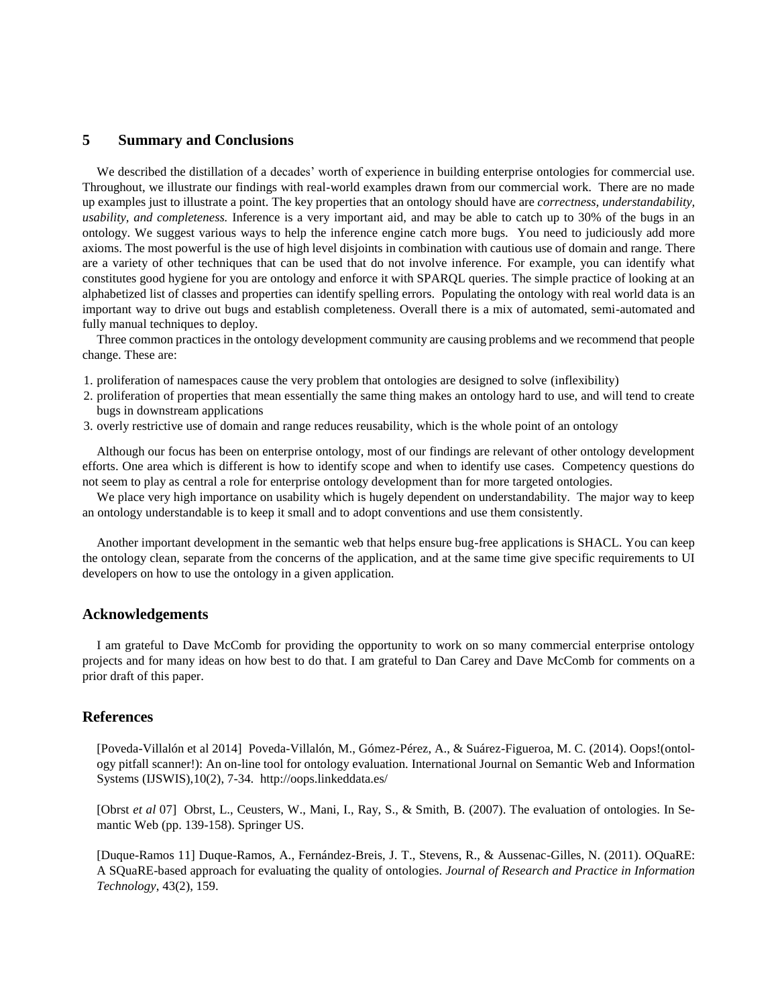## **5 Summary and Conclusions**

We described the distillation of a decades' worth of experience in building enterprise ontologies for commercial use. Throughout, we illustrate our findings with real-world examples drawn from our commercial work. There are no made up examples just to illustrate a point. The key properties that an ontology should have are *correctness, understandability, usability, and completeness.* Inference is a very important aid, and may be able to catch up to 30% of the bugs in an ontology. We suggest various ways to help the inference engine catch more bugs. You need to judiciously add more axioms. The most powerful is the use of high level disjoints in combination with cautious use of domain and range. There are a variety of other techniques that can be used that do not involve inference. For example, you can identify what constitutes good hygiene for you are ontology and enforce it with SPARQL queries. The simple practice of looking at an alphabetized list of classes and properties can identify spelling errors. Populating the ontology with real world data is an important way to drive out bugs and establish completeness. Overall there is a mix of automated, semi-automated and fully manual techniques to deploy.

Three common practices in the ontology development community are causing problems and we recommend that people change. These are:

- 1. proliferation of namespaces cause the very problem that ontologies are designed to solve (inflexibility)
- 2. proliferation of properties that mean essentially the same thing makes an ontology hard to use, and will tend to create bugs in downstream applications
- 3. overly restrictive use of domain and range reduces reusability, which is the whole point of an ontology

Although our focus has been on enterprise ontology, most of our findings are relevant of other ontology development efforts. One area which is different is how to identify scope and when to identify use cases. Competency questions do not seem to play as central a role for enterprise ontology development than for more targeted ontologies.

We place very high importance on usability which is hugely dependent on understandability. The major way to keep an ontology understandable is to keep it small and to adopt conventions and use them consistently.

Another important development in the semantic web that helps ensure bug-free applications is SHACL. You can keep the ontology clean, separate from the concerns of the application, and at the same time give specific requirements to UI developers on how to use the ontology in a given application.

### **Acknowledgements**

I am grateful to Dave McComb for providing the opportunity to work on so many commercial enterprise ontology projects and for many ideas on how best to do that. I am grateful to Dan Carey and Dave McComb for comments on a prior draft of this paper.

### **References**

[Poveda-Villalón et al 2014] Poveda-Villalón, M., Gómez-Pérez, A., & Suárez-Figueroa, M. C. (2014). Oops!(ontology pitfall scanner!): An on-line tool for ontology evaluation. International Journal on Semantic Web and Information Systems (IJSWIS),10(2), 7-34. <http://oops.linkeddata.es/>

[Obrst *et al* 07] Obrst, L., Ceusters, W., Mani, I., Ray, S., & Smith, B. (2007). The evaluation of ontologies. In Semantic Web (pp. 139-158). Springer US.

[Duque-Ramos 11] Duque-Ramos, A., Fernández-Breis, J. T., Stevens, R., & Aussenac-Gilles, N. (2011). OQuaRE: A SQuaRE-based approach for evaluating the quality of ontologies. *Journal of Research and Practice in Information Technology*, 43(2), 159.